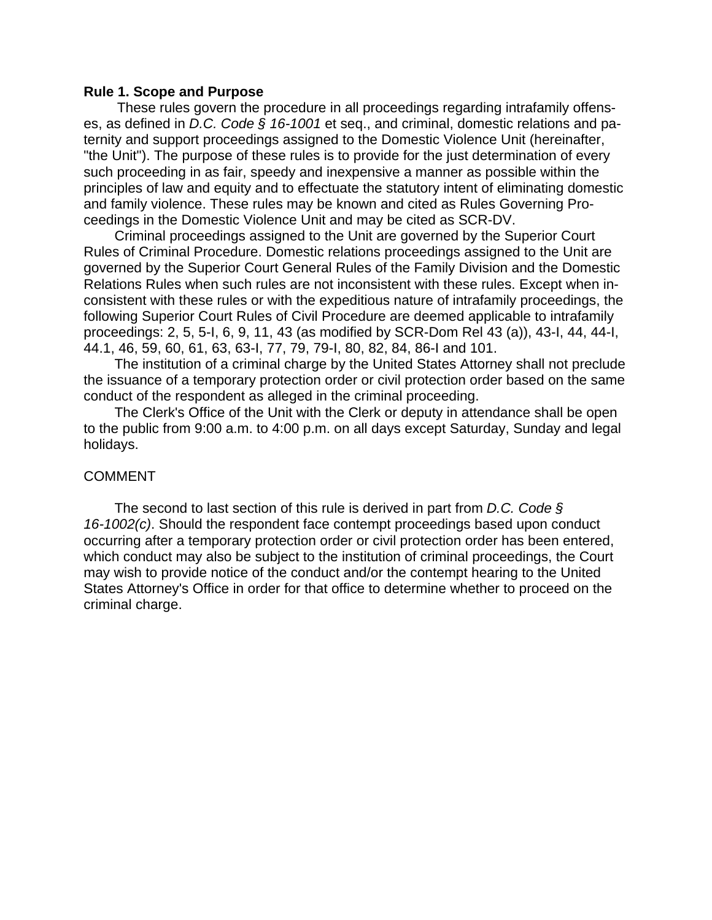#### **Rule 1. Scope and Purpose**

These rules govern the procedure in all proceedings regarding intrafamily offenses, as defined in *D.C. Code § 16-1001* et seq., and criminal, domestic relations and paternity and support proceedings assigned to the Domestic Violence Unit (hereinafter, "the Unit"). The purpose of these rules is to provide for the just determination of every such proceeding in as fair, speedy and inexpensive a manner as possible within the principles of law and equity and to effectuate the statutory intent of eliminating domestic and family violence. These rules may be known and cited as Rules Governing Proceedings in the Domestic Violence Unit and may be cited as SCR-DV.

 Criminal proceedings assigned to the Unit are governed by the Superior Court Rules of Criminal Procedure. Domestic relations proceedings assigned to the Unit are governed by the Superior Court General Rules of the Family Division and the Domestic Relations Rules when such rules are not inconsistent with these rules. Except when inconsistent with these rules or with the expeditious nature of intrafamily proceedings, the following Superior Court Rules of Civil Procedure are deemed applicable to intrafamily proceedings: 2, 5, 5-I, 6, 9, 11, 43 (as modified by SCR-Dom Rel 43 (a)), 43-I, 44, 44-I, 44.1, 46, 59, 60, 61, 63, 63-I, 77, 79, 79-I, 80, 82, 84, 86-I and 101.

 The institution of a criminal charge by the United States Attorney shall not preclude the issuance of a temporary protection order or civil protection order based on the same conduct of the respondent as alleged in the criminal proceeding.

 The Clerk's Office of the Unit with the Clerk or deputy in attendance shall be open to the public from 9:00 a.m. to 4:00 p.m. on all days except Saturday, Sunday and legal holidays.

### COMMENT

 The second to last section of this rule is derived in part from *D.C. Code § 16-1002(c)*. Should the respondent face contempt proceedings based upon conduct occurring after a temporary protection order or civil protection order has been entered, which conduct may also be subject to the institution of criminal proceedings, the Court may wish to provide notice of the conduct and/or the contempt hearing to the United States Attorney's Office in order for that office to determine whether to proceed on the criminal charge.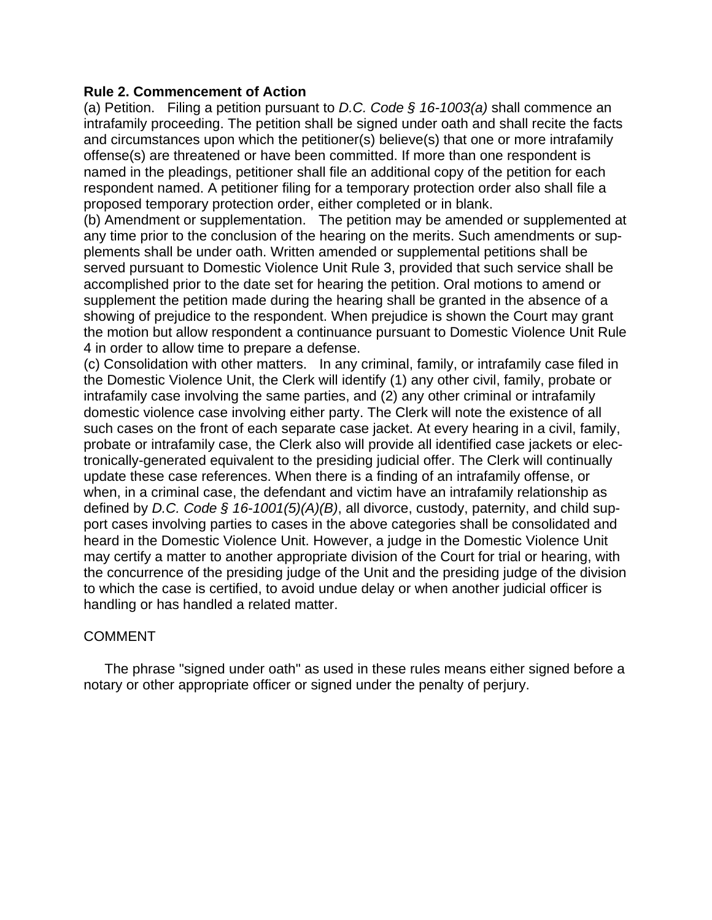## **Rule 2. Commencement of Action**

(a) Petition. Filing a petition pursuant to *D.C. Code § 16-1003(a)* shall commence an intrafamily proceeding. The petition shall be signed under oath and shall recite the facts and circumstances upon which the petitioner(s) believe(s) that one or more intrafamily offense(s) are threatened or have been committed. If more than one respondent is named in the pleadings, petitioner shall file an additional copy of the petition for each respondent named. A petitioner filing for a temporary protection order also shall file a proposed temporary protection order, either completed or in blank.

(b) Amendment or supplementation. The petition may be amended or supplemented at any time prior to the conclusion of the hearing on the merits. Such amendments or supplements shall be under oath. Written amended or supplemental petitions shall be served pursuant to Domestic Violence Unit Rule 3, provided that such service shall be accomplished prior to the date set for hearing the petition. Oral motions to amend or supplement the petition made during the hearing shall be granted in the absence of a showing of prejudice to the respondent. When prejudice is shown the Court may grant the motion but allow respondent a continuance pursuant to Domestic Violence Unit Rule 4 in order to allow time to prepare a defense.

(c) Consolidation with other matters. In any criminal, family, or intrafamily case filed in the Domestic Violence Unit, the Clerk will identify (1) any other civil, family, probate or intrafamily case involving the same parties, and (2) any other criminal or intrafamily domestic violence case involving either party. The Clerk will note the existence of all such cases on the front of each separate case jacket. At every hearing in a civil, family, probate or intrafamily case, the Clerk also will provide all identified case jackets or electronically-generated equivalent to the presiding judicial offer. The Clerk will continually update these case references. When there is a finding of an intrafamily offense, or when, in a criminal case, the defendant and victim have an intrafamily relationship as defined by *D.C. Code § 16-1001(5)(A)(B)*, all divorce, custody, paternity, and child support cases involving parties to cases in the above categories shall be consolidated and heard in the Domestic Violence Unit. However, a judge in the Domestic Violence Unit may certify a matter to another appropriate division of the Court for trial or hearing, with the concurrence of the presiding judge of the Unit and the presiding judge of the division to which the case is certified, to avoid undue delay or when another judicial officer is handling or has handled a related matter.

# COMMENT

The phrase "signed under oath" as used in these rules means either signed before a notary or other appropriate officer or signed under the penalty of perjury.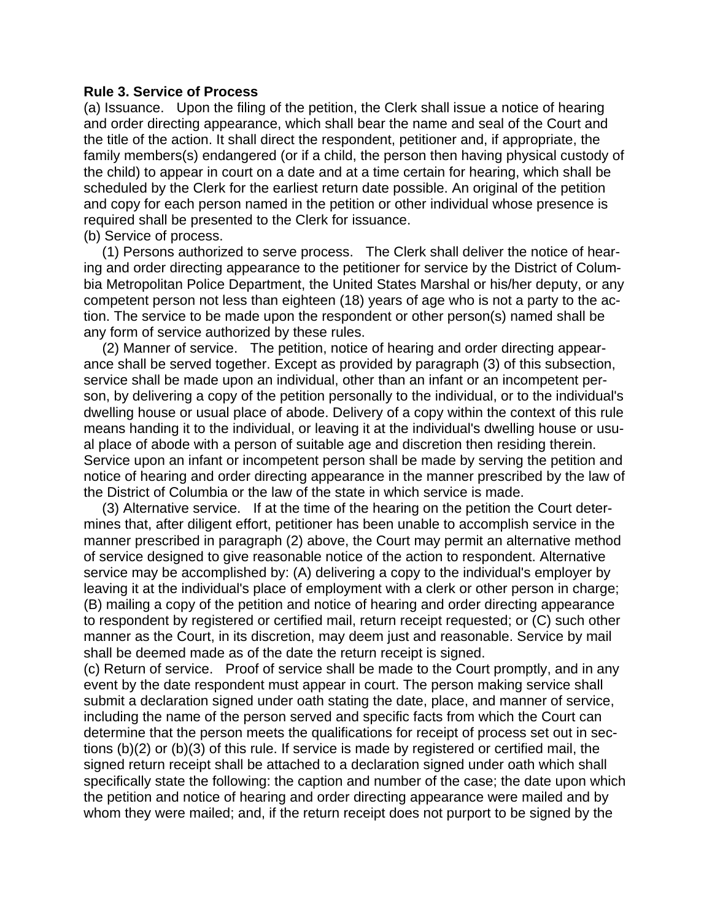### **Rule 3. Service of Process**

(a) Issuance. Upon the filing of the petition, the Clerk shall issue a notice of hearing and order directing appearance, which shall bear the name and seal of the Court and the title of the action. It shall direct the respondent, petitioner and, if appropriate, the family members(s) endangered (or if a child, the person then having physical custody of the child) to appear in court on a date and at a time certain for hearing, which shall be scheduled by the Clerk for the earliest return date possible. An original of the petition and copy for each person named in the petition or other individual whose presence is required shall be presented to the Clerk for issuance.

(b) Service of process.

 (1) Persons authorized to serve process. The Clerk shall deliver the notice of hearing and order directing appearance to the petitioner for service by the District of Columbia Metropolitan Police Department, the United States Marshal or his/her deputy, or any competent person not less than eighteen (18) years of age who is not a party to the action. The service to be made upon the respondent or other person(s) named shall be any form of service authorized by these rules.

 (2) Manner of service. The petition, notice of hearing and order directing appearance shall be served together. Except as provided by paragraph (3) of this subsection, service shall be made upon an individual, other than an infant or an incompetent person, by delivering a copy of the petition personally to the individual, or to the individual's dwelling house or usual place of abode. Delivery of a copy within the context of this rule means handing it to the individual, or leaving it at the individual's dwelling house or usual place of abode with a person of suitable age and discretion then residing therein. Service upon an infant or incompetent person shall be made by serving the petition and notice of hearing and order directing appearance in the manner prescribed by the law of the District of Columbia or the law of the state in which service is made.

 (3) Alternative service. If at the time of the hearing on the petition the Court determines that, after diligent effort, petitioner has been unable to accomplish service in the manner prescribed in paragraph (2) above, the Court may permit an alternative method of service designed to give reasonable notice of the action to respondent. Alternative service may be accomplished by: (A) delivering a copy to the individual's employer by leaving it at the individual's place of employment with a clerk or other person in charge; (B) mailing a copy of the petition and notice of hearing and order directing appearance to respondent by registered or certified mail, return receipt requested; or (C) such other manner as the Court, in its discretion, may deem just and reasonable. Service by mail shall be deemed made as of the date the return receipt is signed.

(c) Return of service. Proof of service shall be made to the Court promptly, and in any event by the date respondent must appear in court. The person making service shall submit a declaration signed under oath stating the date, place, and manner of service, including the name of the person served and specific facts from which the Court can determine that the person meets the qualifications for receipt of process set out in sections (b)(2) or (b)(3) of this rule. If service is made by registered or certified mail, the signed return receipt shall be attached to a declaration signed under oath which shall specifically state the following: the caption and number of the case; the date upon which the petition and notice of hearing and order directing appearance were mailed and by whom they were mailed; and, if the return receipt does not purport to be signed by the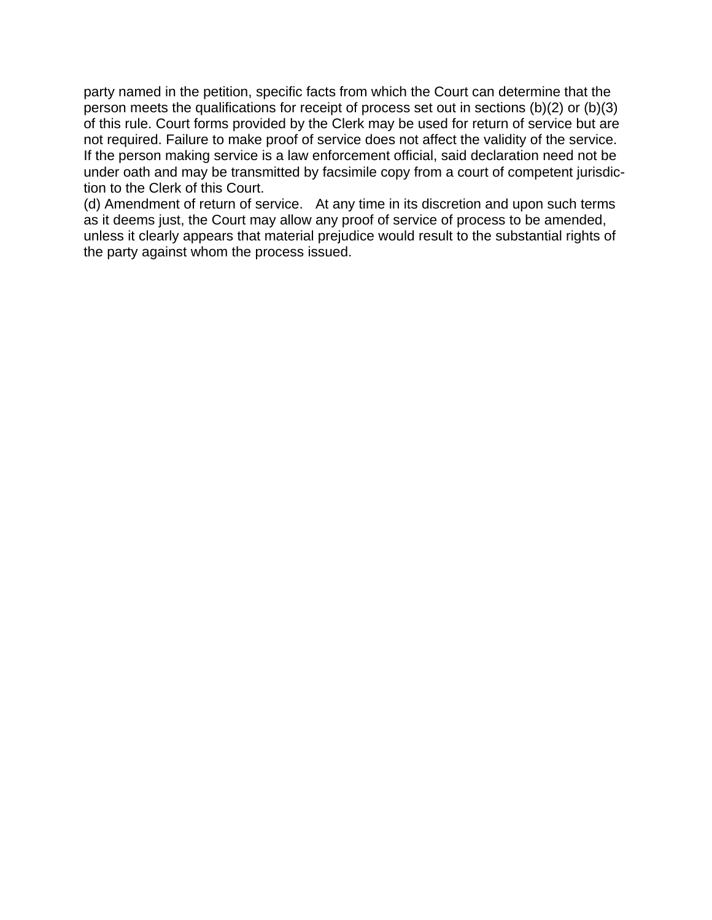party named in the petition, specific facts from which the Court can determine that the person meets the qualifications for receipt of process set out in sections (b)(2) or (b)(3) of this rule. Court forms provided by the Clerk may be used for return of service but are not required. Failure to make proof of service does not affect the validity of the service. If the person making service is a law enforcement official, said declaration need not be under oath and may be transmitted by facsimile copy from a court of competent jurisdiction to the Clerk of this Court.

(d) Amendment of return of service. At any time in its discretion and upon such terms as it deems just, the Court may allow any proof of service of process to be amended, unless it clearly appears that material prejudice would result to the substantial rights of the party against whom the process issued.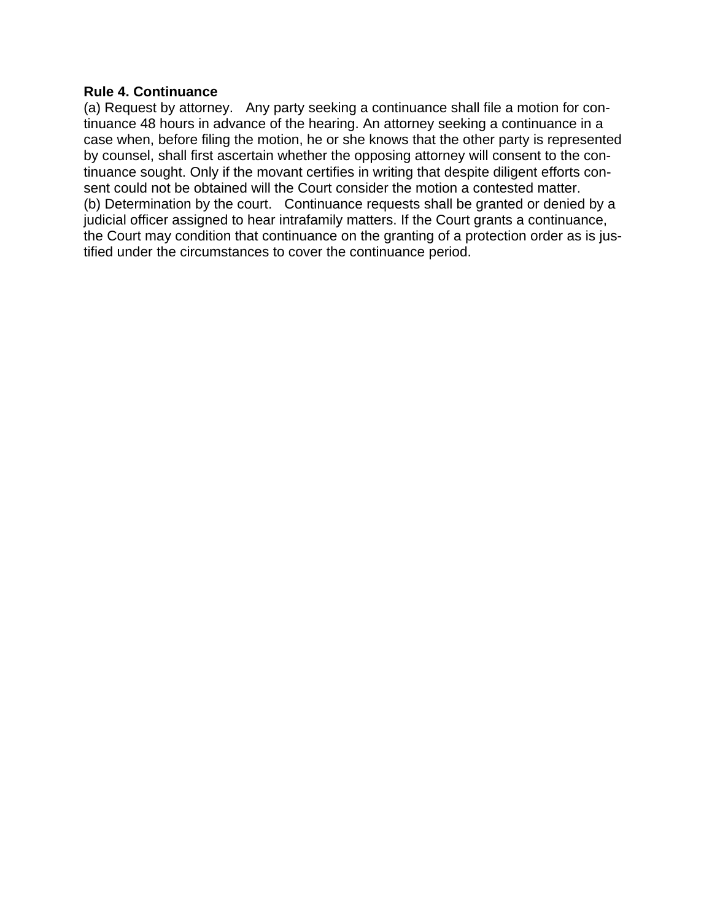### **Rule 4. Continuance**

(a) Request by attorney. Any party seeking a continuance shall file a motion for continuance 48 hours in advance of the hearing. An attorney seeking a continuance in a case when, before filing the motion, he or she knows that the other party is represented by counsel, shall first ascertain whether the opposing attorney will consent to the continuance sought. Only if the movant certifies in writing that despite diligent efforts consent could not be obtained will the Court consider the motion a contested matter. (b) Determination by the court. Continuance requests shall be granted or denied by a judicial officer assigned to hear intrafamily matters. If the Court grants a continuance, the Court may condition that continuance on the granting of a protection order as is justified under the circumstances to cover the continuance period.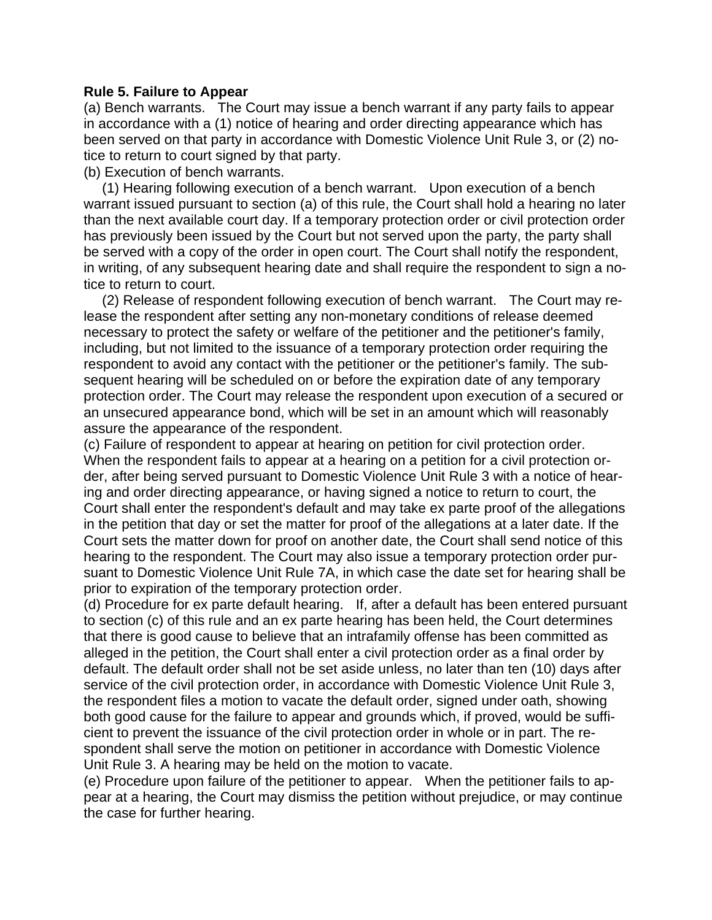### **Rule 5. Failure to Appear**

(a) Bench warrants. The Court may issue a bench warrant if any party fails to appear in accordance with a (1) notice of hearing and order directing appearance which has been served on that party in accordance with Domestic Violence Unit Rule 3, or (2) notice to return to court signed by that party.

(b) Execution of bench warrants.

 (1) Hearing following execution of a bench warrant. Upon execution of a bench warrant issued pursuant to section (a) of this rule, the Court shall hold a hearing no later than the next available court day. If a temporary protection order or civil protection order has previously been issued by the Court but not served upon the party, the party shall be served with a copy of the order in open court. The Court shall notify the respondent, in writing, of any subsequent hearing date and shall require the respondent to sign a notice to return to court.

 (2) Release of respondent following execution of bench warrant. The Court may release the respondent after setting any non-monetary conditions of release deemed necessary to protect the safety or welfare of the petitioner and the petitioner's family, including, but not limited to the issuance of a temporary protection order requiring the respondent to avoid any contact with the petitioner or the petitioner's family. The subsequent hearing will be scheduled on or before the expiration date of any temporary protection order. The Court may release the respondent upon execution of a secured or an unsecured appearance bond, which will be set in an amount which will reasonably assure the appearance of the respondent.

(c) Failure of respondent to appear at hearing on petition for civil protection order. When the respondent fails to appear at a hearing on a petition for a civil protection order, after being served pursuant to Domestic Violence Unit Rule 3 with a notice of hearing and order directing appearance, or having signed a notice to return to court, the Court shall enter the respondent's default and may take ex parte proof of the allegations in the petition that day or set the matter for proof of the allegations at a later date. If the Court sets the matter down for proof on another date, the Court shall send notice of this hearing to the respondent. The Court may also issue a temporary protection order pursuant to Domestic Violence Unit Rule 7A, in which case the date set for hearing shall be prior to expiration of the temporary protection order.

(d) Procedure for ex parte default hearing. If, after a default has been entered pursuant to section (c) of this rule and an ex parte hearing has been held, the Court determines that there is good cause to believe that an intrafamily offense has been committed as alleged in the petition, the Court shall enter a civil protection order as a final order by default. The default order shall not be set aside unless, no later than ten (10) days after service of the civil protection order, in accordance with Domestic Violence Unit Rule 3, the respondent files a motion to vacate the default order, signed under oath, showing both good cause for the failure to appear and grounds which, if proved, would be sufficient to prevent the issuance of the civil protection order in whole or in part. The respondent shall serve the motion on petitioner in accordance with Domestic Violence Unit Rule 3. A hearing may be held on the motion to vacate.

(e) Procedure upon failure of the petitioner to appear. When the petitioner fails to appear at a hearing, the Court may dismiss the petition without prejudice, or may continue the case for further hearing.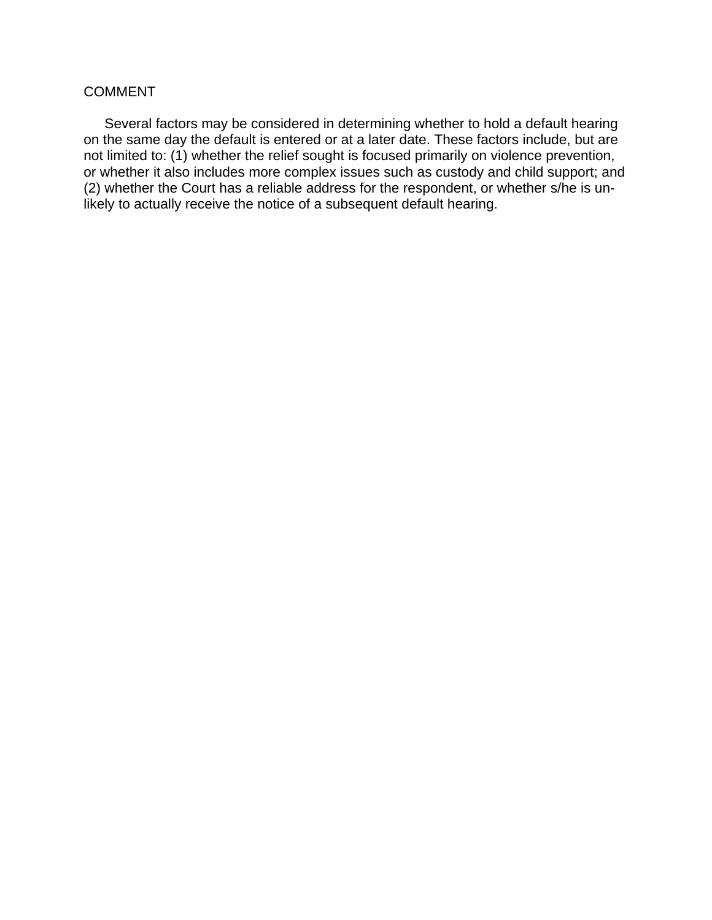# COMMENT

Several factors may be considered in determining whether to hold a default hearing on the same day the default is entered or at a later date. These factors include, but are not limited to: (1) whether the relief sought is focused primarily on violence prevention, or whether it also includes more complex issues such as custody and child support; and (2) whether the Court has a reliable address for the respondent, or whether s/he is unlikely to actually receive the notice of a subsequent default hearing.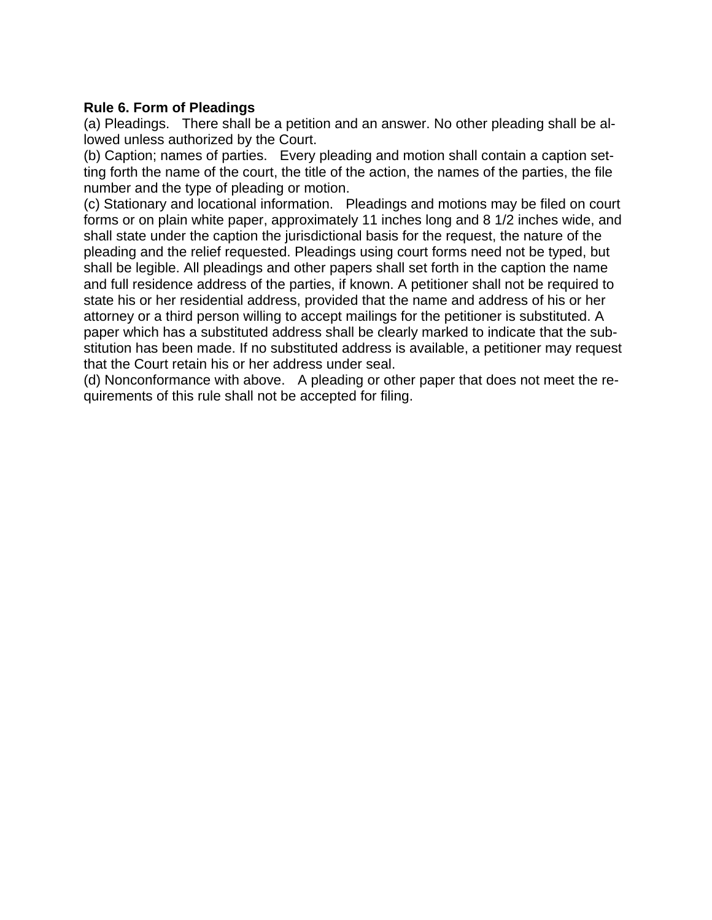# **Rule 6. Form of Pleadings**

(a) Pleadings. There shall be a petition and an answer. No other pleading shall be allowed unless authorized by the Court.

(b) Caption; names of parties. Every pleading and motion shall contain a caption setting forth the name of the court, the title of the action, the names of the parties, the file number and the type of pleading or motion.

(c) Stationary and locational information. Pleadings and motions may be filed on court forms or on plain white paper, approximately 11 inches long and 8 1/2 inches wide, and shall state under the caption the jurisdictional basis for the request, the nature of the pleading and the relief requested. Pleadings using court forms need not be typed, but shall be legible. All pleadings and other papers shall set forth in the caption the name and full residence address of the parties, if known. A petitioner shall not be required to state his or her residential address, provided that the name and address of his or her attorney or a third person willing to accept mailings for the petitioner is substituted. A paper which has a substituted address shall be clearly marked to indicate that the substitution has been made. If no substituted address is available, a petitioner may request that the Court retain his or her address under seal.

(d) Nonconformance with above. A pleading or other paper that does not meet the requirements of this rule shall not be accepted for filing.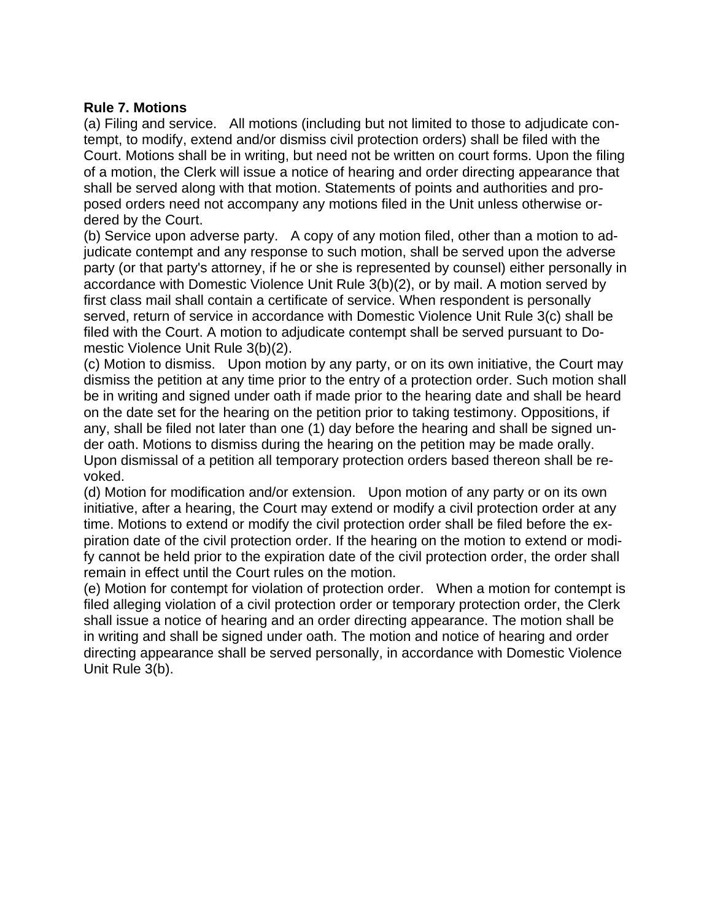## **Rule 7. Motions**

(a) Filing and service. All motions (including but not limited to those to adjudicate contempt, to modify, extend and/or dismiss civil protection orders) shall be filed with the Court. Motions shall be in writing, but need not be written on court forms. Upon the filing of a motion, the Clerk will issue a notice of hearing and order directing appearance that shall be served along with that motion. Statements of points and authorities and proposed orders need not accompany any motions filed in the Unit unless otherwise ordered by the Court.

(b) Service upon adverse party. A copy of any motion filed, other than a motion to adjudicate contempt and any response to such motion, shall be served upon the adverse party (or that party's attorney, if he or she is represented by counsel) either personally in accordance with Domestic Violence Unit Rule 3(b)(2), or by mail. A motion served by first class mail shall contain a certificate of service. When respondent is personally served, return of service in accordance with Domestic Violence Unit Rule 3(c) shall be filed with the Court. A motion to adjudicate contempt shall be served pursuant to Domestic Violence Unit Rule 3(b)(2).

(c) Motion to dismiss. Upon motion by any party, or on its own initiative, the Court may dismiss the petition at any time prior to the entry of a protection order. Such motion shall be in writing and signed under oath if made prior to the hearing date and shall be heard on the date set for the hearing on the petition prior to taking testimony. Oppositions, if any, shall be filed not later than one (1) day before the hearing and shall be signed under oath. Motions to dismiss during the hearing on the petition may be made orally. Upon dismissal of a petition all temporary protection orders based thereon shall be revoked.

(d) Motion for modification and/or extension. Upon motion of any party or on its own initiative, after a hearing, the Court may extend or modify a civil protection order at any time. Motions to extend or modify the civil protection order shall be filed before the expiration date of the civil protection order. If the hearing on the motion to extend or modify cannot be held prior to the expiration date of the civil protection order, the order shall remain in effect until the Court rules on the motion.

(e) Motion for contempt for violation of protection order. When a motion for contempt is filed alleging violation of a civil protection order or temporary protection order, the Clerk shall issue a notice of hearing and an order directing appearance. The motion shall be in writing and shall be signed under oath. The motion and notice of hearing and order directing appearance shall be served personally, in accordance with Domestic Violence Unit Rule 3(b).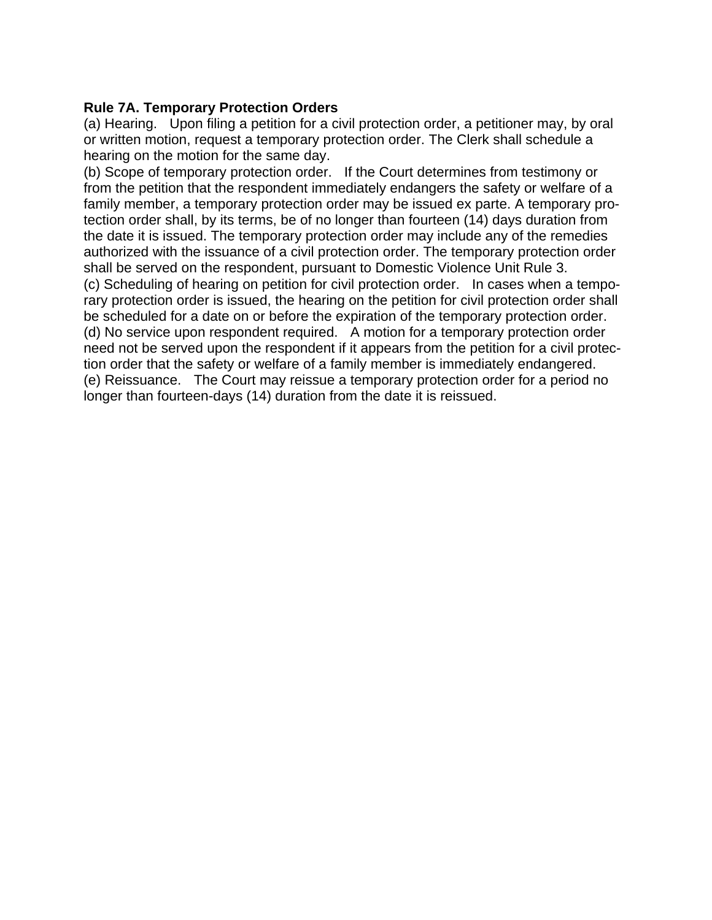# **Rule 7A. Temporary Protection Orders**

(a) Hearing. Upon filing a petition for a civil protection order, a petitioner may, by oral or written motion, request a temporary protection order. The Clerk shall schedule a hearing on the motion for the same day.

(b) Scope of temporary protection order. If the Court determines from testimony or from the petition that the respondent immediately endangers the safety or welfare of a family member, a temporary protection order may be issued ex parte. A temporary protection order shall, by its terms, be of no longer than fourteen (14) days duration from the date it is issued. The temporary protection order may include any of the remedies authorized with the issuance of a civil protection order. The temporary protection order shall be served on the respondent, pursuant to Domestic Violence Unit Rule 3. (c) Scheduling of hearing on petition for civil protection order. In cases when a temporary protection order is issued, the hearing on the petition for civil protection order shall be scheduled for a date on or before the expiration of the temporary protection order. (d) No service upon respondent required. A motion for a temporary protection order need not be served upon the respondent if it appears from the petition for a civil protection order that the safety or welfare of a family member is immediately endangered. (e) Reissuance. The Court may reissue a temporary protection order for a period no longer than fourteen-days (14) duration from the date it is reissued.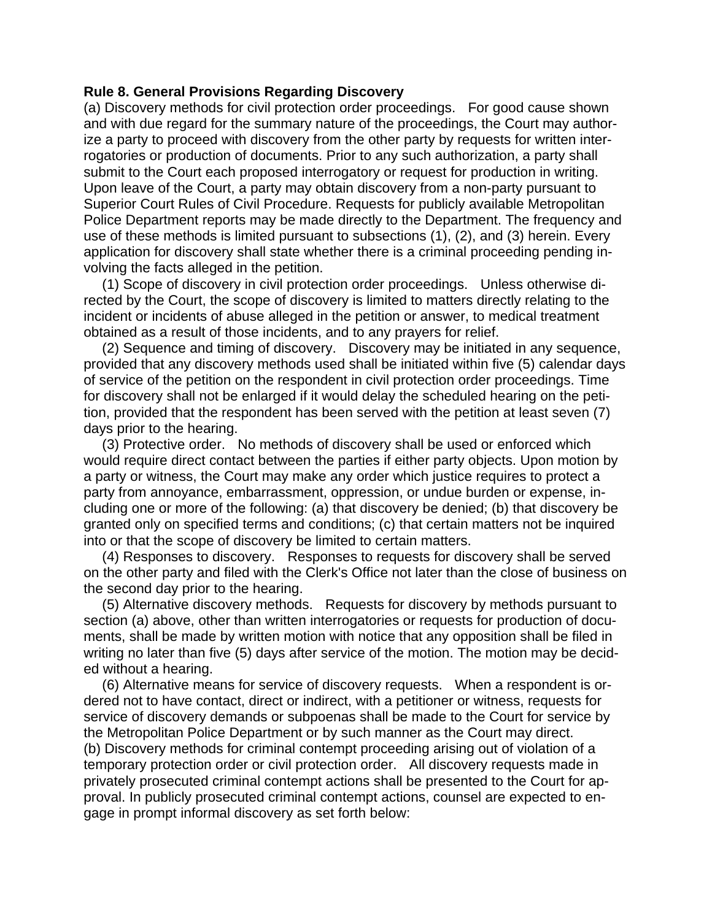### **Rule 8. General Provisions Regarding Discovery**

(a) Discovery methods for civil protection order proceedings. For good cause shown and with due regard for the summary nature of the proceedings, the Court may authorize a party to proceed with discovery from the other party by requests for written interrogatories or production of documents. Prior to any such authorization, a party shall submit to the Court each proposed interrogatory or request for production in writing. Upon leave of the Court, a party may obtain discovery from a non-party pursuant to Superior Court Rules of Civil Procedure. Requests for publicly available Metropolitan Police Department reports may be made directly to the Department. The frequency and use of these methods is limited pursuant to subsections (1), (2), and (3) herein. Every application for discovery shall state whether there is a criminal proceeding pending involving the facts alleged in the petition.

 (1) Scope of discovery in civil protection order proceedings. Unless otherwise directed by the Court, the scope of discovery is limited to matters directly relating to the incident or incidents of abuse alleged in the petition or answer, to medical treatment obtained as a result of those incidents, and to any prayers for relief.

 (2) Sequence and timing of discovery. Discovery may be initiated in any sequence, provided that any discovery methods used shall be initiated within five (5) calendar days of service of the petition on the respondent in civil protection order proceedings. Time for discovery shall not be enlarged if it would delay the scheduled hearing on the petition, provided that the respondent has been served with the petition at least seven (7) days prior to the hearing.

 (3) Protective order. No methods of discovery shall be used or enforced which would require direct contact between the parties if either party objects. Upon motion by a party or witness, the Court may make any order which justice requires to protect a party from annoyance, embarrassment, oppression, or undue burden or expense, including one or more of the following: (a) that discovery be denied; (b) that discovery be granted only on specified terms and conditions; (c) that certain matters not be inquired into or that the scope of discovery be limited to certain matters.

 (4) Responses to discovery. Responses to requests for discovery shall be served on the other party and filed with the Clerk's Office not later than the close of business on the second day prior to the hearing.

 (5) Alternative discovery methods. Requests for discovery by methods pursuant to section (a) above, other than written interrogatories or requests for production of documents, shall be made by written motion with notice that any opposition shall be filed in writing no later than five (5) days after service of the motion. The motion may be decided without a hearing.

 (6) Alternative means for service of discovery requests. When a respondent is ordered not to have contact, direct or indirect, with a petitioner or witness, requests for service of discovery demands or subpoenas shall be made to the Court for service by the Metropolitan Police Department or by such manner as the Court may direct. (b) Discovery methods for criminal contempt proceeding arising out of violation of a temporary protection order or civil protection order. All discovery requests made in privately prosecuted criminal contempt actions shall be presented to the Court for approval. In publicly prosecuted criminal contempt actions, counsel are expected to engage in prompt informal discovery as set forth below: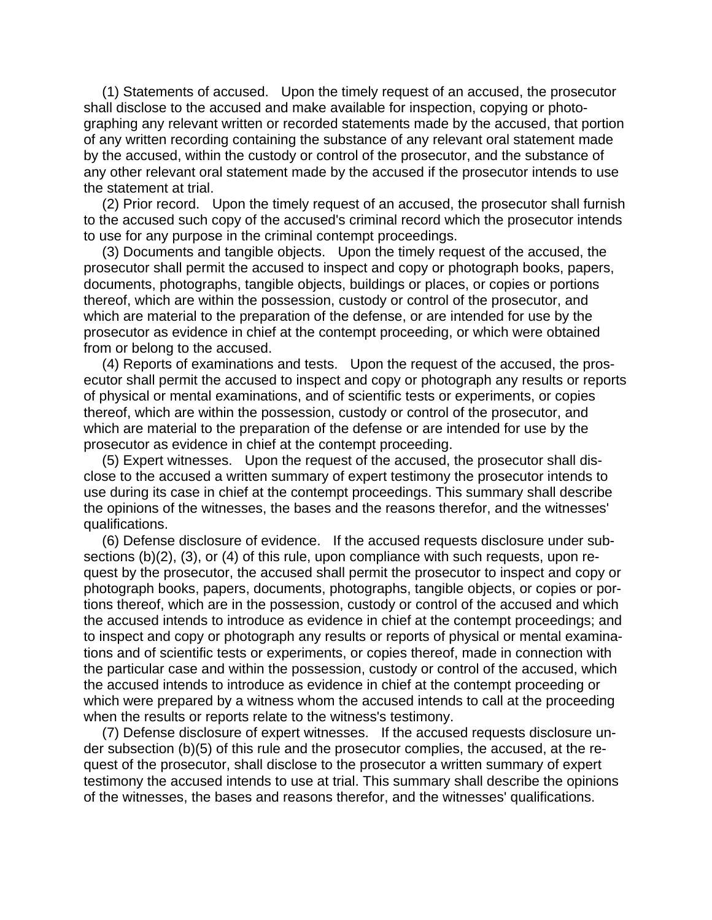(1) Statements of accused. Upon the timely request of an accused, the prosecutor shall disclose to the accused and make available for inspection, copying or photographing any relevant written or recorded statements made by the accused, that portion of any written recording containing the substance of any relevant oral statement made by the accused, within the custody or control of the prosecutor, and the substance of any other relevant oral statement made by the accused if the prosecutor intends to use the statement at trial.

 (2) Prior record. Upon the timely request of an accused, the prosecutor shall furnish to the accused such copy of the accused's criminal record which the prosecutor intends to use for any purpose in the criminal contempt proceedings.

 (3) Documents and tangible objects. Upon the timely request of the accused, the prosecutor shall permit the accused to inspect and copy or photograph books, papers, documents, photographs, tangible objects, buildings or places, or copies or portions thereof, which are within the possession, custody or control of the prosecutor, and which are material to the preparation of the defense, or are intended for use by the prosecutor as evidence in chief at the contempt proceeding, or which were obtained from or belong to the accused.

 (4) Reports of examinations and tests. Upon the request of the accused, the prosecutor shall permit the accused to inspect and copy or photograph any results or reports of physical or mental examinations, and of scientific tests or experiments, or copies thereof, which are within the possession, custody or control of the prosecutor, and which are material to the preparation of the defense or are intended for use by the prosecutor as evidence in chief at the contempt proceeding.

 (5) Expert witnesses. Upon the request of the accused, the prosecutor shall disclose to the accused a written summary of expert testimony the prosecutor intends to use during its case in chief at the contempt proceedings. This summary shall describe the opinions of the witnesses, the bases and the reasons therefor, and the witnesses' qualifications.

 (6) Defense disclosure of evidence. If the accused requests disclosure under subsections (b)(2), (3), or (4) of this rule, upon compliance with such requests, upon request by the prosecutor, the accused shall permit the prosecutor to inspect and copy or photograph books, papers, documents, photographs, tangible objects, or copies or portions thereof, which are in the possession, custody or control of the accused and which the accused intends to introduce as evidence in chief at the contempt proceedings; and to inspect and copy or photograph any results or reports of physical or mental examinations and of scientific tests or experiments, or copies thereof, made in connection with the particular case and within the possession, custody or control of the accused, which the accused intends to introduce as evidence in chief at the contempt proceeding or which were prepared by a witness whom the accused intends to call at the proceeding when the results or reports relate to the witness's testimony.

 (7) Defense disclosure of expert witnesses. If the accused requests disclosure under subsection (b)(5) of this rule and the prosecutor complies, the accused, at the request of the prosecutor, shall disclose to the prosecutor a written summary of expert testimony the accused intends to use at trial. This summary shall describe the opinions of the witnesses, the bases and reasons therefor, and the witnesses' qualifications.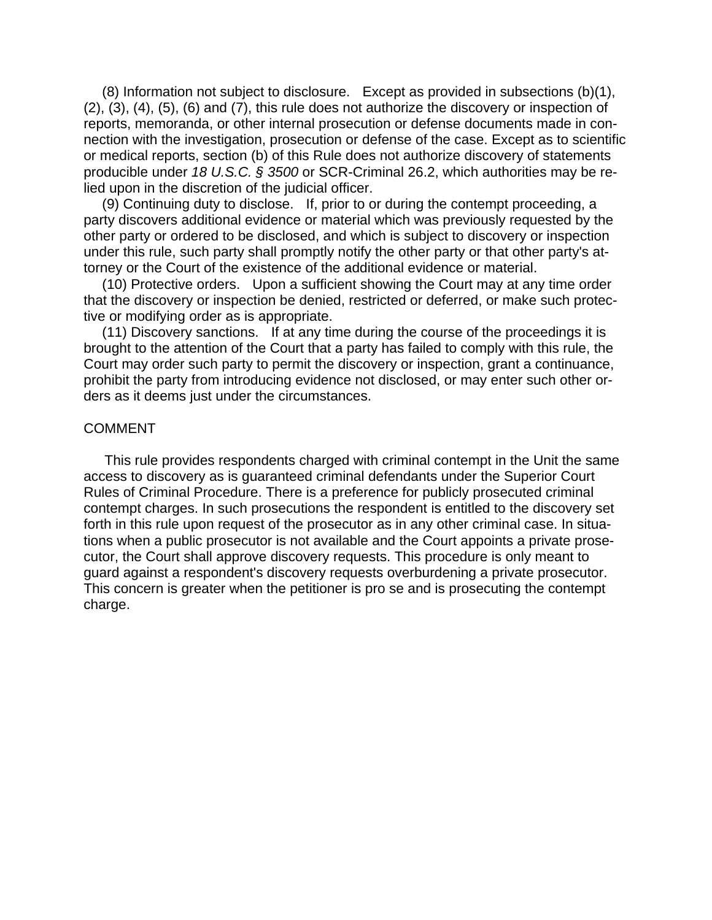(8) Information not subject to disclosure. Except as provided in subsections (b)(1), (2), (3), (4), (5), (6) and (7), this rule does not authorize the discovery or inspection of reports, memoranda, or other internal prosecution or defense documents made in connection with the investigation, prosecution or defense of the case. Except as to scientific or medical reports, section (b) of this Rule does not authorize discovery of statements producible under *18 U.S.C. § 3500* or SCR-Criminal 26.2, which authorities may be relied upon in the discretion of the judicial officer.

 (9) Continuing duty to disclose. If, prior to or during the contempt proceeding, a party discovers additional evidence or material which was previously requested by the other party or ordered to be disclosed, and which is subject to discovery or inspection under this rule, such party shall promptly notify the other party or that other party's attorney or the Court of the existence of the additional evidence or material.

 (10) Protective orders. Upon a sufficient showing the Court may at any time order that the discovery or inspection be denied, restricted or deferred, or make such protective or modifying order as is appropriate.

 (11) Discovery sanctions. If at any time during the course of the proceedings it is brought to the attention of the Court that a party has failed to comply with this rule, the Court may order such party to permit the discovery or inspection, grant a continuance, prohibit the party from introducing evidence not disclosed, or may enter such other orders as it deems just under the circumstances.

### COMMENT

This rule provides respondents charged with criminal contempt in the Unit the same access to discovery as is guaranteed criminal defendants under the Superior Court Rules of Criminal Procedure. There is a preference for publicly prosecuted criminal contempt charges. In such prosecutions the respondent is entitled to the discovery set forth in this rule upon request of the prosecutor as in any other criminal case. In situations when a public prosecutor is not available and the Court appoints a private prosecutor, the Court shall approve discovery requests. This procedure is only meant to guard against a respondent's discovery requests overburdening a private prosecutor. This concern is greater when the petitioner is pro se and is prosecuting the contempt charge.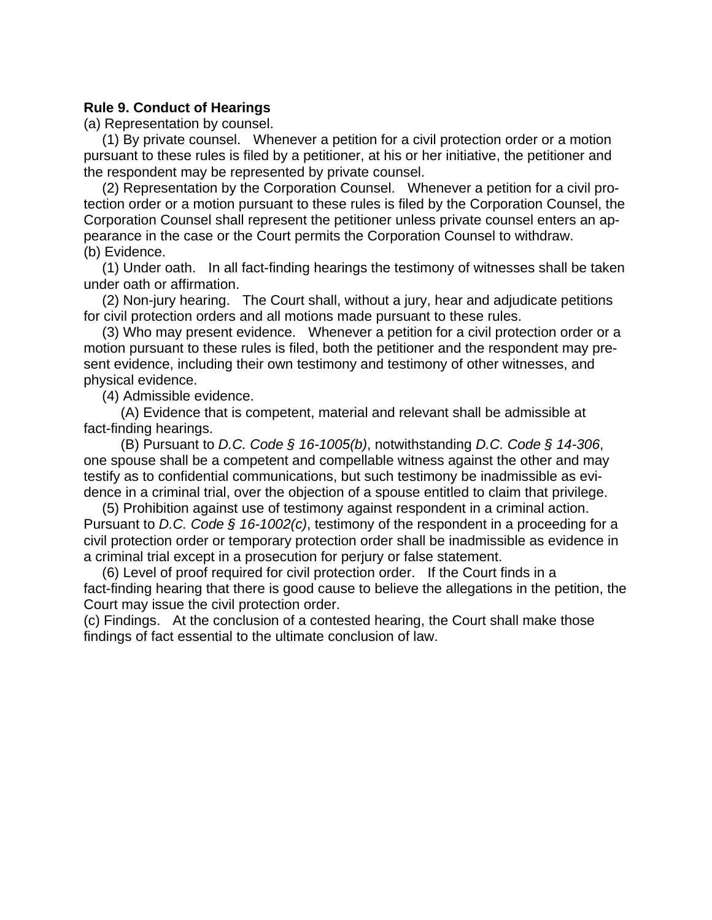## **Rule 9. Conduct of Hearings**

(a) Representation by counsel.

 (1) By private counsel. Whenever a petition for a civil protection order or a motion pursuant to these rules is filed by a petitioner, at his or her initiative, the petitioner and the respondent may be represented by private counsel.

 (2) Representation by the Corporation Counsel. Whenever a petition for a civil protection order or a motion pursuant to these rules is filed by the Corporation Counsel, the Corporation Counsel shall represent the petitioner unless private counsel enters an appearance in the case or the Court permits the Corporation Counsel to withdraw. (b) Evidence.

 (1) Under oath. In all fact-finding hearings the testimony of witnesses shall be taken under oath or affirmation.

 (2) Non-jury hearing. The Court shall, without a jury, hear and adjudicate petitions for civil protection orders and all motions made pursuant to these rules.

 (3) Who may present evidence. Whenever a petition for a civil protection order or a motion pursuant to these rules is filed, both the petitioner and the respondent may present evidence, including their own testimony and testimony of other witnesses, and physical evidence.

(4) Admissible evidence.

 (A) Evidence that is competent, material and relevant shall be admissible at fact-finding hearings.

 (B) Pursuant to *D.C. Code § 16-1005(b)*, notwithstanding *D.C. Code § 14-306*, one spouse shall be a competent and compellable witness against the other and may testify as to confidential communications, but such testimony be inadmissible as evidence in a criminal trial, over the objection of a spouse entitled to claim that privilege.

 (5) Prohibition against use of testimony against respondent in a criminal action. Pursuant to *D.C. Code § 16-1002(c)*, testimony of the respondent in a proceeding for a civil protection order or temporary protection order shall be inadmissible as evidence in a criminal trial except in a prosecution for perjury or false statement.

 (6) Level of proof required for civil protection order. If the Court finds in a fact-finding hearing that there is good cause to believe the allegations in the petition, the Court may issue the civil protection order.

(c) Findings. At the conclusion of a contested hearing, the Court shall make those findings of fact essential to the ultimate conclusion of law.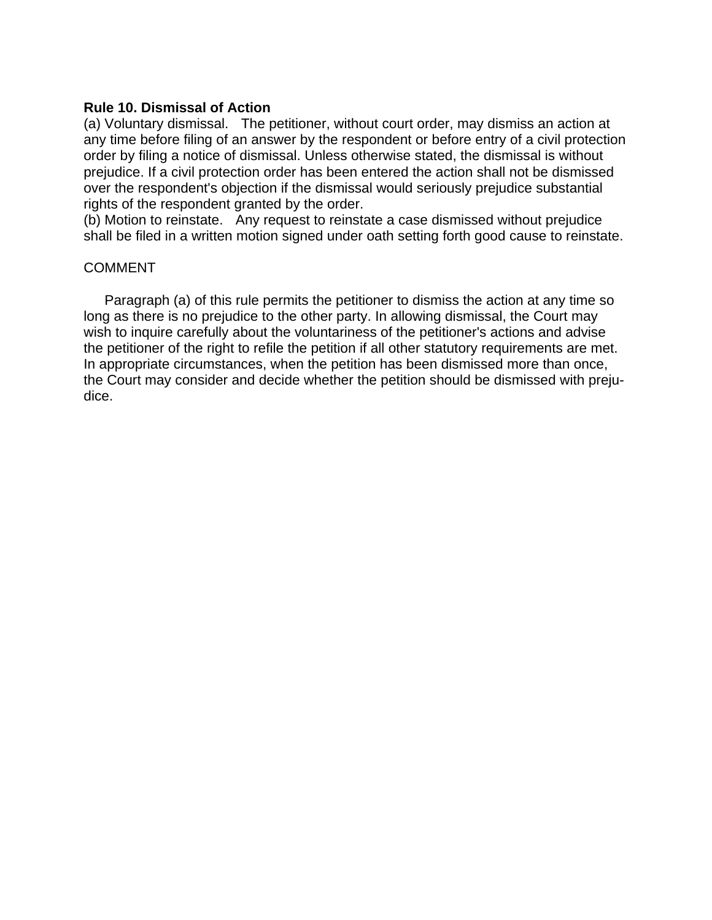## **Rule 10. Dismissal of Action**

(a) Voluntary dismissal. The petitioner, without court order, may dismiss an action at any time before filing of an answer by the respondent or before entry of a civil protection order by filing a notice of dismissal. Unless otherwise stated, the dismissal is without prejudice. If a civil protection order has been entered the action shall not be dismissed over the respondent's objection if the dismissal would seriously prejudice substantial rights of the respondent granted by the order.

(b) Motion to reinstate. Any request to reinstate a case dismissed without prejudice shall be filed in a written motion signed under oath setting forth good cause to reinstate.

## COMMENT

Paragraph (a) of this rule permits the petitioner to dismiss the action at any time so long as there is no prejudice to the other party. In allowing dismissal, the Court may wish to inquire carefully about the voluntariness of the petitioner's actions and advise the petitioner of the right to refile the petition if all other statutory requirements are met. In appropriate circumstances, when the petition has been dismissed more than once, the Court may consider and decide whether the petition should be dismissed with prejudice.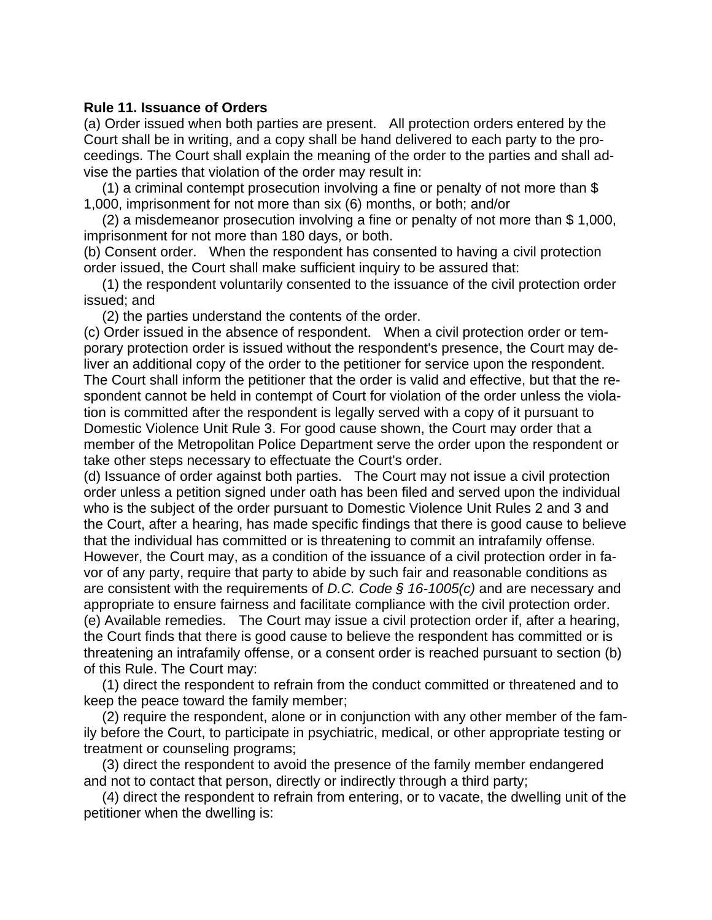## **Rule 11. Issuance of Orders**

(a) Order issued when both parties are present. All protection orders entered by the Court shall be in writing, and a copy shall be hand delivered to each party to the proceedings. The Court shall explain the meaning of the order to the parties and shall advise the parties that violation of the order may result in:

 (1) a criminal contempt prosecution involving a fine or penalty of not more than \$ 1,000, imprisonment for not more than six (6) months, or both; and/or

 (2) a misdemeanor prosecution involving a fine or penalty of not more than \$ 1,000, imprisonment for not more than 180 days, or both.

(b) Consent order. When the respondent has consented to having a civil protection order issued, the Court shall make sufficient inquiry to be assured that:

 (1) the respondent voluntarily consented to the issuance of the civil protection order issued; and

(2) the parties understand the contents of the order.

(c) Order issued in the absence of respondent. When a civil protection order or temporary protection order is issued without the respondent's presence, the Court may deliver an additional copy of the order to the petitioner for service upon the respondent. The Court shall inform the petitioner that the order is valid and effective, but that the respondent cannot be held in contempt of Court for violation of the order unless the violation is committed after the respondent is legally served with a copy of it pursuant to Domestic Violence Unit Rule 3. For good cause shown, the Court may order that a member of the Metropolitan Police Department serve the order upon the respondent or take other steps necessary to effectuate the Court's order.

(d) Issuance of order against both parties. The Court may not issue a civil protection order unless a petition signed under oath has been filed and served upon the individual who is the subject of the order pursuant to Domestic Violence Unit Rules 2 and 3 and the Court, after a hearing, has made specific findings that there is good cause to believe that the individual has committed or is threatening to commit an intrafamily offense. However, the Court may, as a condition of the issuance of a civil protection order in favor of any party, require that party to abide by such fair and reasonable conditions as are consistent with the requirements of *D.C. Code § 16-1005(c)* and are necessary and appropriate to ensure fairness and facilitate compliance with the civil protection order. (e) Available remedies. The Court may issue a civil protection order if, after a hearing, the Court finds that there is good cause to believe the respondent has committed or is threatening an intrafamily offense, or a consent order is reached pursuant to section (b) of this Rule. The Court may:

 (1) direct the respondent to refrain from the conduct committed or threatened and to keep the peace toward the family member;

 (2) require the respondent, alone or in conjunction with any other member of the family before the Court, to participate in psychiatric, medical, or other appropriate testing or treatment or counseling programs;

 (3) direct the respondent to avoid the presence of the family member endangered and not to contact that person, directly or indirectly through a third party;

 (4) direct the respondent to refrain from entering, or to vacate, the dwelling unit of the petitioner when the dwelling is: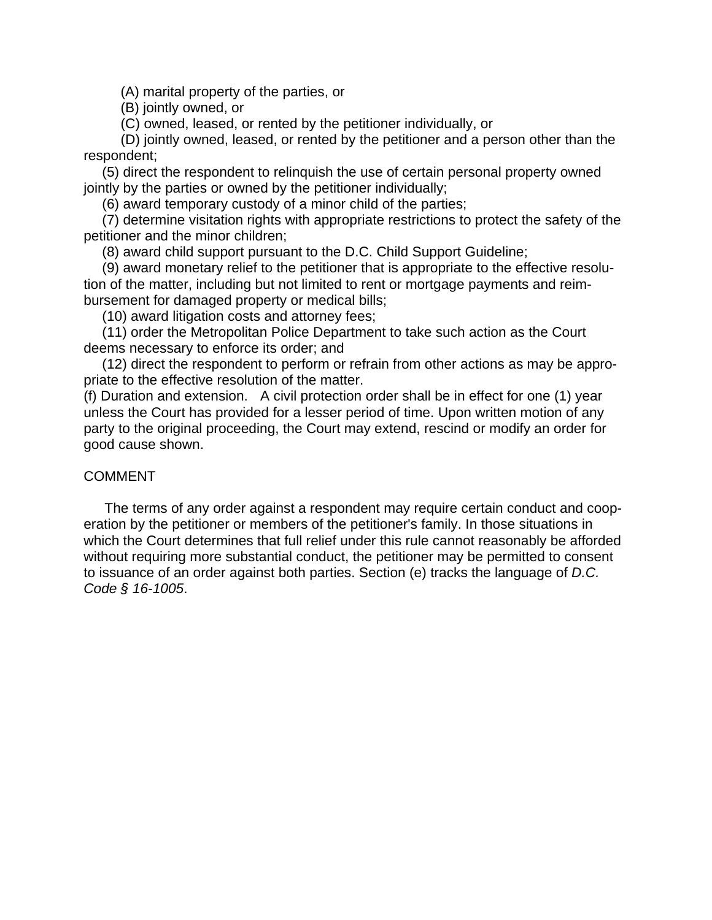(A) marital property of the parties, or

(B) jointly owned, or

(C) owned, leased, or rented by the petitioner individually, or

 (D) jointly owned, leased, or rented by the petitioner and a person other than the respondent;

 (5) direct the respondent to relinquish the use of certain personal property owned jointly by the parties or owned by the petitioner individually;

(6) award temporary custody of a minor child of the parties;

 (7) determine visitation rights with appropriate restrictions to protect the safety of the petitioner and the minor children;

(8) award child support pursuant to the D.C. Child Support Guideline;

 (9) award monetary relief to the petitioner that is appropriate to the effective resolution of the matter, including but not limited to rent or mortgage payments and reimbursement for damaged property or medical bills;

(10) award litigation costs and attorney fees;

 (11) order the Metropolitan Police Department to take such action as the Court deems necessary to enforce its order; and

 (12) direct the respondent to perform or refrain from other actions as may be appropriate to the effective resolution of the matter.

(f) Duration and extension. A civil protection order shall be in effect for one (1) year unless the Court has provided for a lesser period of time. Upon written motion of any party to the original proceeding, the Court may extend, rescind or modify an order for good cause shown.

# **COMMENT**

The terms of any order against a respondent may require certain conduct and cooperation by the petitioner or members of the petitioner's family. In those situations in which the Court determines that full relief under this rule cannot reasonably be afforded without requiring more substantial conduct, the petitioner may be permitted to consent to issuance of an order against both parties. Section (e) tracks the language of *D.C. Code § 16-1005*.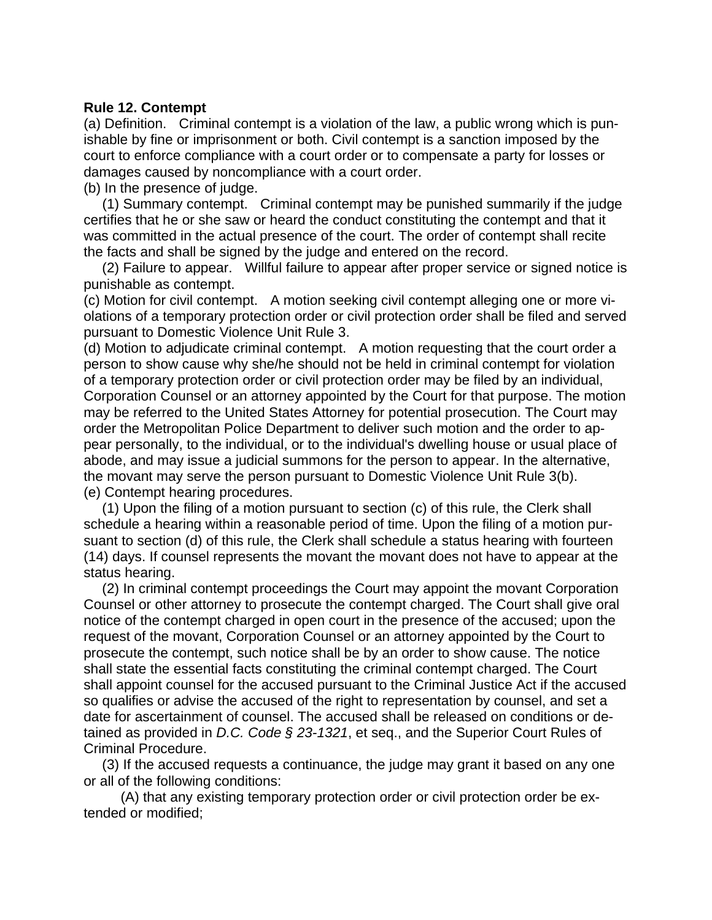## **Rule 12. Contempt**

(a) Definition. Criminal contempt is a violation of the law, a public wrong which is punishable by fine or imprisonment or both. Civil contempt is a sanction imposed by the court to enforce compliance with a court order or to compensate a party for losses or damages caused by noncompliance with a court order.

(b) In the presence of judge.

 (1) Summary contempt. Criminal contempt may be punished summarily if the judge certifies that he or she saw or heard the conduct constituting the contempt and that it was committed in the actual presence of the court. The order of contempt shall recite the facts and shall be signed by the judge and entered on the record.

 (2) Failure to appear. Willful failure to appear after proper service or signed notice is punishable as contempt.

(c) Motion for civil contempt. A motion seeking civil contempt alleging one or more violations of a temporary protection order or civil protection order shall be filed and served pursuant to Domestic Violence Unit Rule 3.

(d) Motion to adjudicate criminal contempt. A motion requesting that the court order a person to show cause why she/he should not be held in criminal contempt for violation of a temporary protection order or civil protection order may be filed by an individual, Corporation Counsel or an attorney appointed by the Court for that purpose. The motion may be referred to the United States Attorney for potential prosecution. The Court may order the Metropolitan Police Department to deliver such motion and the order to appear personally, to the individual, or to the individual's dwelling house or usual place of abode, and may issue a judicial summons for the person to appear. In the alternative, the movant may serve the person pursuant to Domestic Violence Unit Rule 3(b). (e) Contempt hearing procedures.

 (1) Upon the filing of a motion pursuant to section (c) of this rule, the Clerk shall schedule a hearing within a reasonable period of time. Upon the filing of a motion pursuant to section (d) of this rule, the Clerk shall schedule a status hearing with fourteen (14) days. If counsel represents the movant the movant does not have to appear at the status hearing.

 (2) In criminal contempt proceedings the Court may appoint the movant Corporation Counsel or other attorney to prosecute the contempt charged. The Court shall give oral notice of the contempt charged in open court in the presence of the accused; upon the request of the movant, Corporation Counsel or an attorney appointed by the Court to prosecute the contempt, such notice shall be by an order to show cause. The notice shall state the essential facts constituting the criminal contempt charged. The Court shall appoint counsel for the accused pursuant to the Criminal Justice Act if the accused so qualifies or advise the accused of the right to representation by counsel, and set a date for ascertainment of counsel. The accused shall be released on conditions or detained as provided in *D.C. Code § 23-1321*, et seq., and the Superior Court Rules of Criminal Procedure.

 (3) If the accused requests a continuance, the judge may grant it based on any one or all of the following conditions:

 (A) that any existing temporary protection order or civil protection order be extended or modified;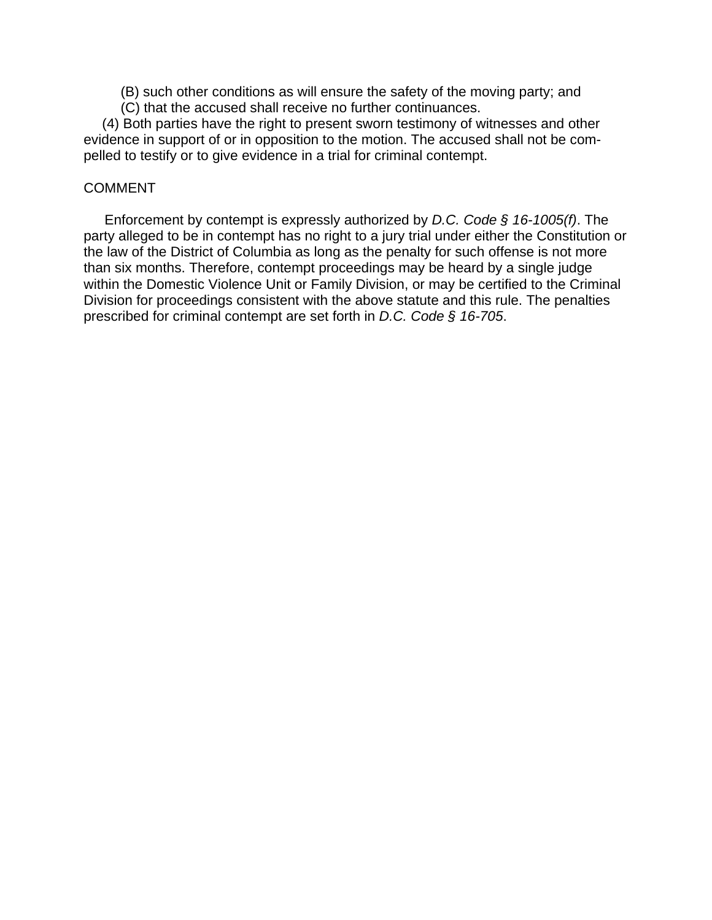- (B) such other conditions as will ensure the safety of the moving party; and
- (C) that the accused shall receive no further continuances.

 (4) Both parties have the right to present sworn testimony of witnesses and other evidence in support of or in opposition to the motion. The accused shall not be compelled to testify or to give evidence in a trial for criminal contempt.

# COMMENT

Enforcement by contempt is expressly authorized by *D.C. Code § 16-1005(f)*. The party alleged to be in contempt has no right to a jury trial under either the Constitution or the law of the District of Columbia as long as the penalty for such offense is not more than six months. Therefore, contempt proceedings may be heard by a single judge within the Domestic Violence Unit or Family Division, or may be certified to the Criminal Division for proceedings consistent with the above statute and this rule. The penalties prescribed for criminal contempt are set forth in *D.C. Code § 16-705*.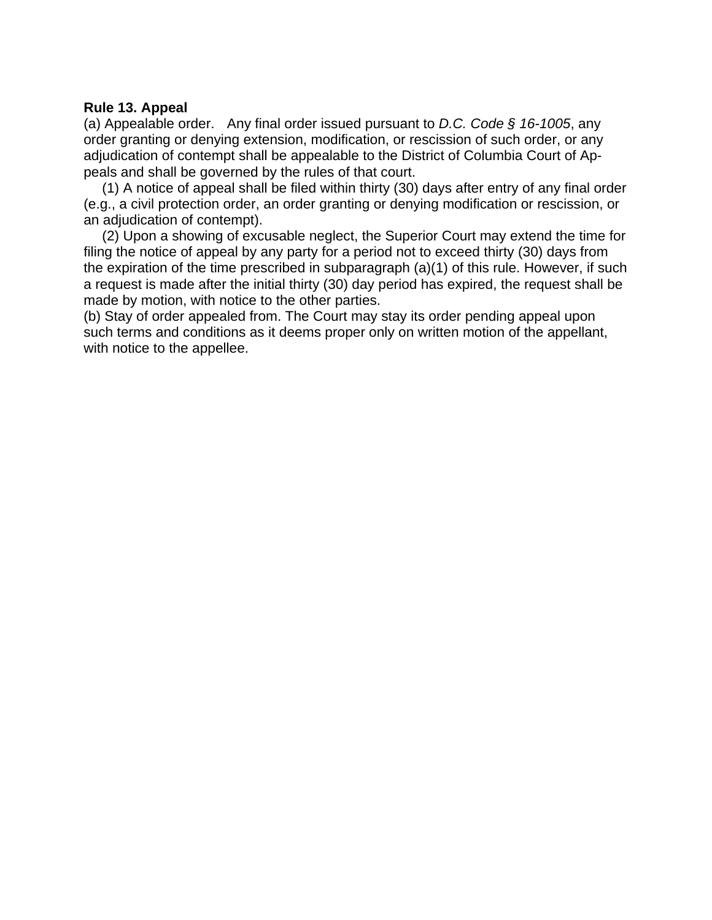# **Rule 13. Appeal**

(a) Appealable order. Any final order issued pursuant to *D.C. Code § 16-1005*, any order granting or denying extension, modification, or rescission of such order, or any adjudication of contempt shall be appealable to the District of Columbia Court of Appeals and shall be governed by the rules of that court.

 (1) A notice of appeal shall be filed within thirty (30) days after entry of any final order (e.g., a civil protection order, an order granting or denying modification or rescission, or an adjudication of contempt).

 (2) Upon a showing of excusable neglect, the Superior Court may extend the time for filing the notice of appeal by any party for a period not to exceed thirty (30) days from the expiration of the time prescribed in subparagraph (a)(1) of this rule. However, if such a request is made after the initial thirty (30) day period has expired, the request shall be made by motion, with notice to the other parties.

(b) Stay of order appealed from. The Court may stay its order pending appeal upon such terms and conditions as it deems proper only on written motion of the appellant, with notice to the appellee.